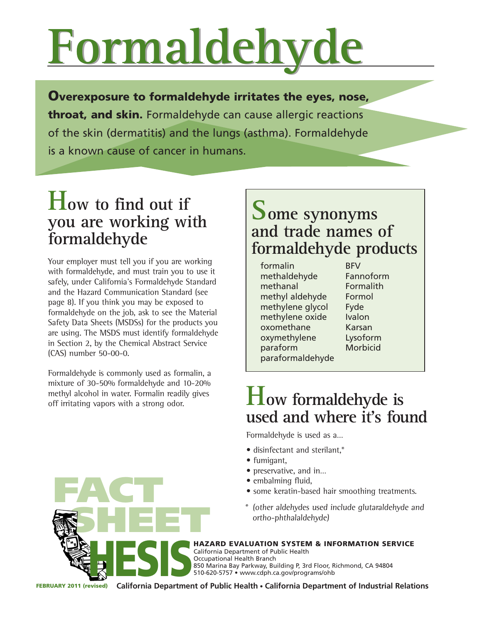# **Formaldehyde Formaldehyde**

Overexposure to formaldehyde irritates the eyes, nose, throat, and skin. Formaldehyde can cause allergic reactions of the skin (dermatitis) and the lungs (asthma). Formaldehyde is a known cause of cancer in humans.

## **How to find out if you are working with formaldehyde**

Your employer must tell you if you are working with formaldehyde, and must train you to use it safely, under California's Formaldehyde Standard and the Hazard Communication Standard (see page 8). If you think you may be exposed to formaldehyde on the job, ask to see the Material Safety Data Sheets (MSDSs) for the products you are using. The MSDS must identify formaldehyde in Section 2, by the Chemical Abstract Service (CAS) number 50-00-0.

Formaldehyde is commonly used as formalin, a mixture of 30-50% formaldehyde and 10-20% methyl alcohol in water. Formalin readily gives

FACT

### **Some synonyms and trade names of formaldehyde products**

formalin BFV methaldehyde Fannoform methanal Formalith methyl aldehyde Formol methylene glycol Fyde methylene oxide Ivalon oxomethane Karsan oxymethylene Lysoform paraform Morbicid paraformaldehyde

# methyl alcohol in water. Formalin readily gives **How formaldehyde is** off irritating vapors with a strong odor. **used and where it's found**

Formaldehyde is used as a…

- disinfectant and sterilant,\*
- fumigant,
- preservative, and in…
- embalming fluid,
- some keratin-based hair smoothing treatments.
- \* (other aldehydes used include glutaraldehyde and ortho-phthalaldehyde)

SHEET S HAZARD EVALUATION SYSTEM & INFORMATION SERVICE California Department of Public Health Occupational Health Branch 850 Marina Bay Parkway, Building P, 3rd Floor, Richmond, CA 94804<br>510-620-5757 • www.cdph.ca.gov/programs/ohb<br>FEBRUARY 2011 (revised) California Department of Public Health • California Department of Industrial

FEBRUARY 2011 (revised) **California Department of Public Health** • **California Department of Industrial Relations**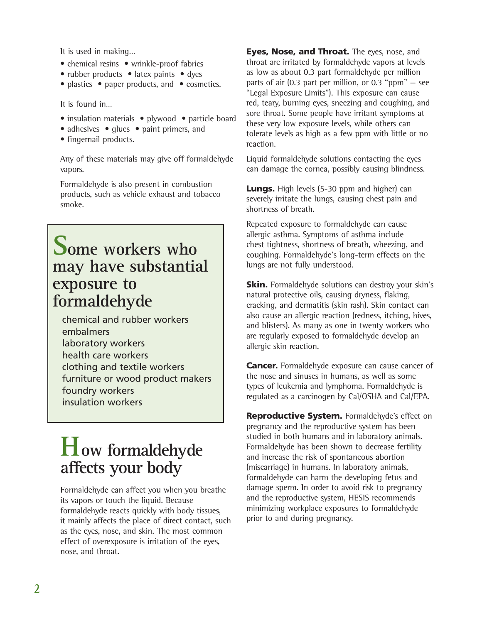It is used in making…

- chemical resins wrinkle-proof fabrics
- rubber products latex paints dyes
- plastics paper products, and cosmetics.

It is found in…

- insulation materials plywood particle board
- adhesives glues paint primers, and
- fingernail products.

Any of these materials may give off formaldehyde vapors.

Formaldehyde is also present in combustion products, such as vehicle exhaust and tobacco smoke.

### **Some workers who may have substantial exposure to formaldehyde**

chemical and rubber workers embalmers laboratory workers health care workers clothing and textile workers furniture or wood product makers foundry workers insulation workers

# **How formaldehyde affects your body**

Formaldehyde can affect you when you breathe its vapors or touch the liquid. Because formaldehyde reacts quickly with body tissues, it mainly affects the place of direct contact, such as the eyes, nose, and skin. The most common effect of overexposure is irritation of the eyes, nose, and throat.

Eyes, Nose, and Throat. The eyes, nose, and throat are irritated by formaldehyde vapors at levels as low as about 0.3 part formaldehyde per million parts of air  $(0.3$  part per million, or  $0.3$  "ppm"  $-$  see "Legal Exposure Limits"). This exposure can cause red, teary, burning eyes, sneezing and coughing, and sore throat. Some people have irritant symptoms at these very low exposure levels, while others can tolerate levels as high as a few ppm with little or no reaction.

Liquid formaldehyde solutions contacting the eyes can damage the cornea, possibly causing blindness.

**Lungs.** High levels (5-30 ppm and higher) can severely irritate the lungs, causing chest pain and shortness of breath.

Repeated exposure to formaldehyde can cause allergic asthma. Symptoms of asthma include chest tightness, shortness of breath, wheezing, and coughing. Formaldehyde's long-term effects on the lungs are not fully understood.

**Skin.** Formaldehyde solutions can destroy your skin's natural protective oils, causing dryness, flaking, cracking, and dermatitis (skin rash). Skin contact can also cause an allergic reaction (redness, itching, hives, and blisters). As many as one in twenty workers who are regularly exposed to formaldehyde develop an allergic skin reaction.

**Cancer.** Formaldehyde exposure can cause cancer of the nose and sinuses in humans, as well as some types of leukemia and lymphoma. Formaldehyde is regulated as a carcinogen by Cal/OSHA and Cal/EPA.

Reproductive System. Formaldehyde's effect on pregnancy and the reproductive system has been studied in both humans and in laboratory animals. Formaldehyde has been shown to decrease fertility and increase the risk of spontaneous abortion (miscarriage) in humans. In laboratory animals, formaldehyde can harm the developing fetus and damage sperm. In order to avoid risk to pregnancy and the reproductive system, HESIS recommends minimizing workplace exposures to formaldehyde prior to and during pregnancy.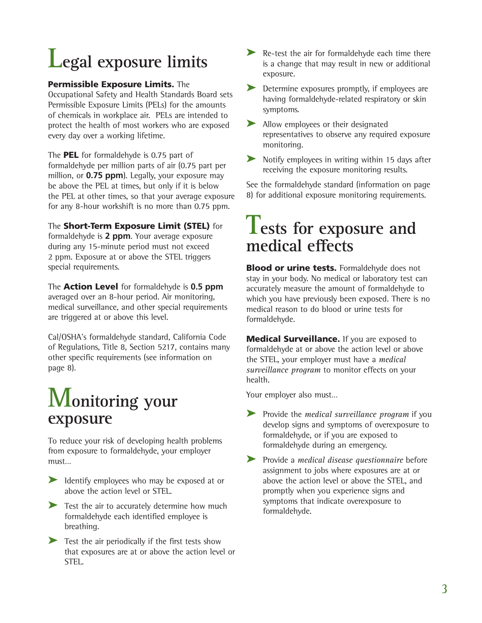# **Legal exposure limits**

#### Permissible Exposure Limits. The

Occupational Safety and Health Standards Board sets Permissible Exposure Limits (PELs) for the amounts of chemicals in workplace air. PELs are intended to protect the health of most workers who are exposed every day over a working lifetime.

The **PEL** for formaldehyde is 0.75 part of formaldehyde per million parts of air (0.75 part per million, or **0.75 ppm**). Legally, your exposure may be above the PEL at times, but only if it is below the PEL at other times, so that your average exposure for any 8-hour workshift is no more than 0.75 ppm.

#### The **Short-Term Exposure Limit (STEL)** for

formaldehyde is **2 ppm**. Your average exposure during any 15-minute period must not exceed 2 ppm. Exposure at or above the STEL triggers special requirements.

The Action Level for formaldehyde is **0.5 ppm**  averaged over an 8-hour period. Air monitoring, medical surveillance, and other special requirements are triggered at or above this level.

Cal/OSHA's formaldehyde standard, California Code of Regulations, Title 8, Section 5217, contains many other specific requirements (see information on page 8).

# **Monitoring your exposure**

To reduce your risk of developing health problems from exposure to formaldehyde, your employer must…

- ➤ Identify employees who may be exposed at or above the action level or STEL.
- ► Test the air to accurately determine how much formaldehyde each identified employee is breathing.
- ► Test the air periodically if the first tests show that exposures are at or above the action level or STEL.
- ► Re-test the air for formaldehyde each time there is a change that may result in new or additional exposure.
- ► Determine exposures promptly, if employees are having formaldehyde-related respiratory or skin symptoms.
- ► Allow employees or their designated representatives to observe any required exposure monitoring.
- ► Notify employees in writing within 15 days after receiving the exposure monitoring results.

See the formaldehyde standard (information on page 8) for additional exposure monitoring requirements.

# **Tests for exposure and medical effects**

**Blood or urine tests.** Formaldehyde does not stay in your body. No medical or laboratory test can accurately measure the amount of formaldehyde to which you have previously been exposed. There is no medical reason to do blood or urine tests for formaldehyde.

**Medical Surveillance.** If you are exposed to formaldehyde at or above the action level or above the STEL, your employer must have a *medical surveillance program* to monitor effects on your health.

Your employer also must…

- ➤ Provide the *medical surveillance program* if you develop signs and symptoms of overexposure to formaldehyde, or if you are exposed to formaldehyde during an emergency.
- ➤ Provide a *medical disease questionnaire* before assignment to jobs where exposures are at or above the action level or above the STEL, and promptly when you experience signs and symptoms that indicate overexposure to formaldehyde.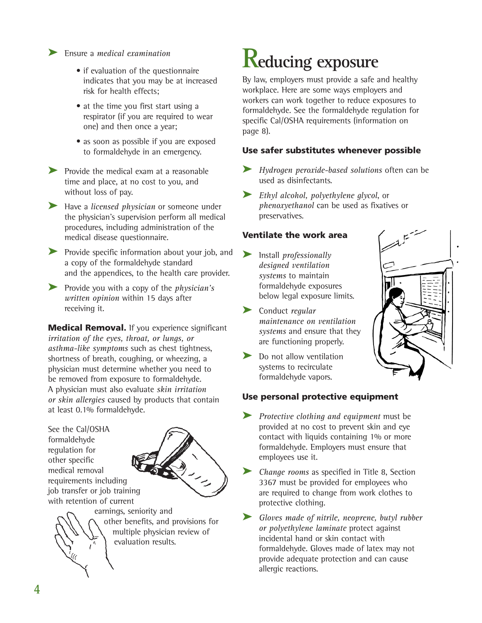#### ➤ Ensure a *medical examination*

- if evaluation of the questionnaire indicates that you may be at increased risk for health effects;
- at the time you first start using a respirator (if you are required to wear one) and then once a year;
- as soon as possible if you are exposed to formaldehyde in an emergency.
- ➤ Provide the medical exam at a reasonable time and place, at no cost to you, and without loss of pay.
- ➤ Have a *licensed physician* or someone under the physician's supervision perform all medical procedures, including administration of the medical disease questionnaire.
- ► Provide specific information about your job, and a copy of the formaldehyde standard and the appendices, to the health care provider.
- ➤ Provide you with a copy of the *physician's written opinion* within 15 days after receiving it.

**Medical Removal.** If you experience significant *irritation of the eyes, throat, or lungs, or asthma-like symptoms* such as chest tightness, shortness of breath, coughing, or wheezing, a physician must determine whether you need to be removed from exposure to formaldehyde. A physician must also evaluate *skin irritation or skin allergies* caused by products that contain at least 0.1% formaldehyde.

See the Cal/OSHA formaldehyde regulation for other specific medical removal requirements including job transfer or job training with retention of current





# **Reducing exposure**

By law, employers must provide a safe and healthy workplace. Here are some ways employers and workers can work together to reduce exposures to formaldehyde. See the formaldehyde regulation for specific Cal/OSHA requirements (information on page 8).

#### Use safer substitutes whenever possible

- ➤ *Hydrogen peroxide-based solutions* often can be used as disinfectants.
- ➤ *Ethyl alcohol, polyethylene glycol*, or *phenoxyethanol* can be used as fixatives or preservatives.

#### Ventilate the work area

- ➤ Install *professionally designed ventilation systems* to maintain formaldehyde exposures below legal exposure limits.
- ➤ Conduct *regular maintenance on ventilation systems* and ensure that they are functioning properly.
- ▶ Do not allow ventilation systems to recirculate formaldehyde vapors.



#### Use personal protective equipment

➤ *Protective clothing and equipment* must be provided at no cost to prevent skin and eye contact with liquids containing 1% or more formaldehyde. Employers must ensure that employees use it.

➤ *Change rooms* as specified in Title 8, Section 3367 must be provided for employees who are required to change from work clothes to protective clothing.

➤ *Gloves made of nitrile, neoprene, butyl rubber or polyethylene laminate* protect against incidental hand or skin contact with formaldehyde. Gloves made of latex may not provide adequate protection and can cause allergic reactions.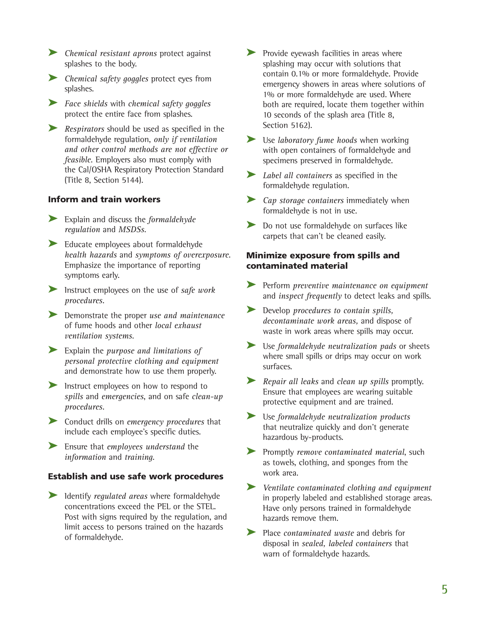- ➤ *Chemical resistant aprons* protect against splashes to the body.
- ➤ *Chemical safety goggles* protect eyes from splashes.
- ➤ *Face shields* with *chemical safety goggles* protect the entire face from splashes.
- **EXECUTE:** Respirators should be used as specified in the formaldehyde regulation, *only if ventilation and other control methods are not effective or feasible*. Employers also must comply with the Cal/OSHA Respiratory Protection Standard (Title 8, Section 5144).

#### Inform and train workers

- ➤ Explain and discuss the *formaldehyde regulation* and *MSDSs*.
- ➤ Educate employees about formaldehyde *health hazards* and *symptoms of overexposure*. Emphasize the importance of reporting symptoms early.
- ➤ Instruct employees on the use of *safe work procedures*.
- ➤ Demonstrate the proper *use and maintenance*  of fume hoods and other *local exhaust ventilation systems*.
- ➤ Explain the *purpose and limitations of personal protective clothing and equipment* and demonstrate how to use them properly.
- ▶ Instruct employees on how to respond to *spills* and *emergencies*, and on safe *clean-up procedures*.
- ➤ Conduct drills on *emergency procedures* that include each employee's specific duties.
- ➤ Ensure that *employees understand* the *information* and *training*.

#### Establish and use safe work procedures

➤ Identify *regulated areas* where formaldehyde concentrations exceed the PEL or the STEL. Post with signs required by the regulation, and limit access to persons trained on the hazards of formaldehyde.

- ▶ Provide eyewash facilities in areas where splashing may occur with solutions that contain 0.1% or more formaldehyde. Provide emergency showers in areas where solutions of 1% or more formaldehyde are used. Where both are required, locate them together within 10 seconds of the splash area (Title 8, Section 5162).
- ➤ Use *laboratory fume hoods* when working with open containers of formaldehyde and specimens preserved in formaldehyde.
- ➤ *Label all containers* as specified in the formaldehyde regulation.
- ➤ *Cap storage containers* immediately when formaldehyde is not in use.
- ► Do not use formaldehyde on surfaces like carpets that can't be cleaned easily.

#### Minimize exposure from spills and contaminated material

- ➤ Perform *preventive maintenance on equipment* and *inspect frequently* to detect leaks and spills.
- ➤ Develop *procedures to contain spills, decontaminate work areas,* and dispose of waste in work areas where spills may occur.
- ➤ Use *formaldehyde neutralization pads* or sheets where small spills or drips may occur on work surfaces.
- ➤ *Repair all leaks* and *clean up spills* promptly. Ensure that employees are wearing suitable protective equipment and are trained.
- ➤ Use *formaldehyde neutralization products* that neutralize quickly and don't generate hazardous by-products.
- ➤ Promptly *remove contaminated material*, such as towels, clothing, and sponges from the work area.
- ➤ *Ventilate contaminated clothing and equipment* in properly labeled and established storage areas. Have only persons trained in formaldehyde hazards remove them.
- ➤ Place *contaminated waste* and debris for disposal in *sealed, labeled containers* that warn of formaldehyde hazards.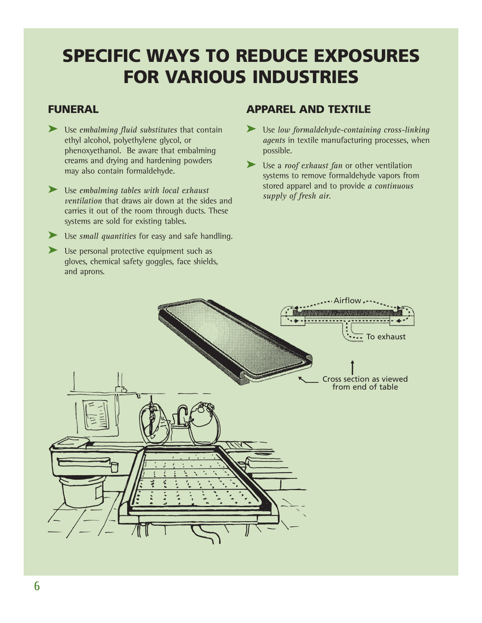## SPECIFIC WAYS TO REDUCE EXPOSURES FOR VARIOUS INDUSTRIES

#### FUNERAL

- ➤ Use *embalming fluid substitutes* that contain ethyl alcohol, polyethylene glycol, or phenoxyethanol. Be aware that embalming creams and drying and hardening powders may also contain formaldehyde.
- ➤ Use *embalming tables with local exhaust ventilation* that draws air down at the sides and carries it out of the room through ducts. These systems are sold for existing tables.
- ➤ Use *small quantities* for easy and safe handling.
- ► Use personal protective equipment such as gloves, chemical safety goggles, face shields, and aprons.

#### APPAREL AND TEXTILE

- ➤ Use *low formaldehyde-containing cross-linking agents* in textile manufacturing processes, when possible.
- ➤ Use a *roof exhaust fan* or other ventilation systems to remove formaldehyde vapors from stored apparel and to provide *a continuous supply of fresh air*.

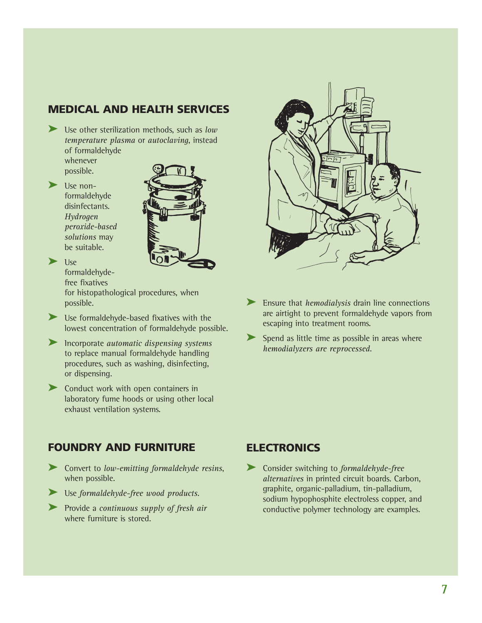#### MEDICAL AND HEALTH SERVICES

- ➤ Use other sterilization methods, such as *low temperature plasma* or *autoclaving*, instead of formaldehyde whenever
	- possible.
- ▶ Use nonformaldehyde disinfectants. *Hydrogen peroxide-based solutions* may be suitable.



 $\blacktriangleright$  1|se formaldehyde-

> free fixatives for histopathological procedures, when possible.

- ➤ Use formaldehyde-based fixatives with the lowest concentration of formaldehyde possible.
- ➤ Incorporate *automatic dispensing systems* to replace manual formaldehyde handling procedures, such as washing, disinfecting, or dispensing.
- ➤ Conduct work with open containers in laboratory fume hoods or using other local exhaust ventilation systems.



- ➤ Ensure that *hemodialysis* drain line connections are airtight to prevent formaldehyde vapors from escaping into treatment rooms.
- ► Spend as little time as possible in areas where *hemodialyzers are reprocessed*.

#### FOUNDRY AND FURNITURE

- ➤ Convert to *low-emitting formaldehyde resins*, when possible.
- ➤ Use *formaldehyde-free wood products*.
- ➤ Provide a *continuous supply of fresh air* where furniture is stored.

#### **ELECTRONICS**

➤ Consider switching to *formaldehyde-free alternatives* in printed circuit boards. Carbon, graphite, organic-palladium, tin-palladium, sodium hypophosphite electroless copper, and conductive polymer technology are examples.